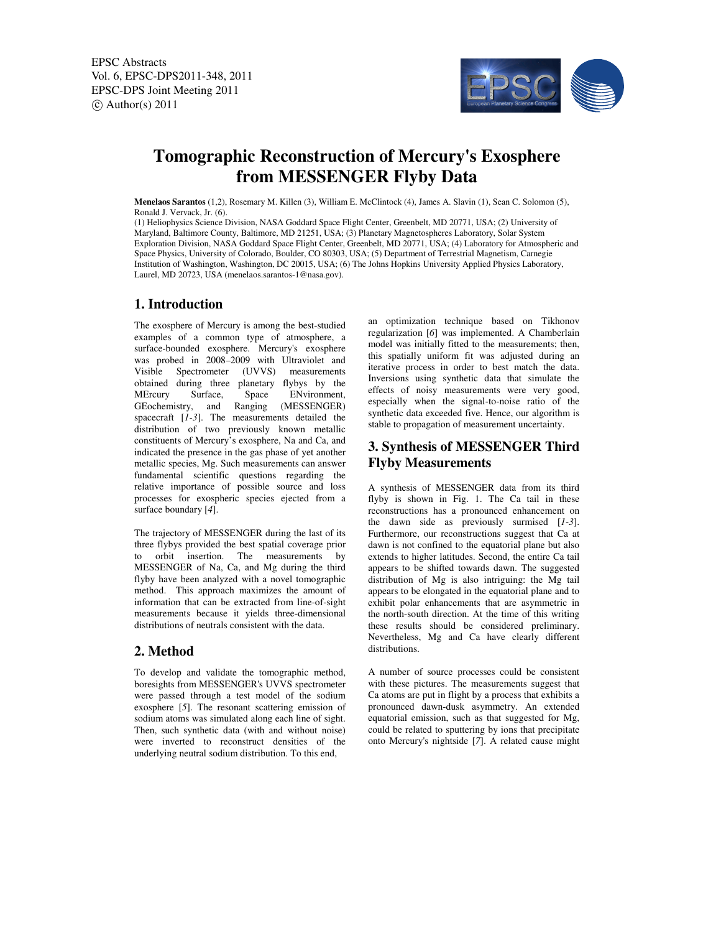EPSC Abstracts Vol. 6, EPSC-DPS2011-348, 2011 EPSC-DPS Joint Meeting 2011  $\circ$  Author(s) 2011



# **Tomographic Reconstruction of Mercury's Exosphere from MESSENGER Flyby Data**

**Menelaos Sarantos** (1,2), Rosemary M. Killen (3), William E. McClintock (4), James A. Slavin (1), Sean C. Solomon (5), Ronald J. Vervack, Jr. (6).

(1) Heliophysics Science Division, NASA Goddard Space Flight Center, Greenbelt, MD 20771, USA; (2) University of Maryland, Baltimore County, Baltimore, MD 21251, USA; (3) Planetary Magnetospheres Laboratory, Solar System Exploration Division, NASA Goddard Space Flight Center, Greenbelt, MD 20771, USA; (4) Laboratory for Atmospheric and Space Physics, University of Colorado, Boulder, CO 80303, USA; (5) Department of Terrestrial Magnetism, Carnegie Institution of Washington, Washington, DC 20015, USA; (6) The Johns Hopkins University Applied Physics Laboratory, Laurel, MD 20723, USA (menelaos.sarantos-1@nasa.gov).

# **1. Introduction**

The exosphere of Mercury is among the best-studied examples of a common type of atmosphere, a surface-bounded exosphere. Mercury's exosphere was probed in 2008–2009 with Ultraviolet and Visible Spectrometer (UVVS) measurements obtained during three planetary flybys by the MErcury Surface, Space ENvironment, ENvironment, GEochemistry, and Ranging (MESSENGER) spacecraft [*1-3*]. The measurements detailed the distribution of two previously known metallic constituents of Mercury's exosphere, Na and Ca, and indicated the presence in the gas phase of yet another metallic species, Mg. Such measurements can answer fundamental scientific questions regarding the relative importance of possible source and loss processes for exospheric species ejected from a surface boundary [*4*].

The trajectory of MESSENGER during the last of its three flybys provided the best spatial coverage prior to orbit insertion. The measurements by MESSENGER of Na, Ca, and Mg during the third flyby have been analyzed with a novel tomographic method. This approach maximizes the amount of information that can be extracted from line-of-sight measurements because it yields three-dimensional distributions of neutrals consistent with the data.

# **2. Method**

To develop and validate the tomographic method, boresights from MESSENGER's UVVS spectrometer were passed through a test model of the sodium exosphere [*5*]. The resonant scattering emission of sodium atoms was simulated along each line of sight. Then, such synthetic data (with and without noise) were inverted to reconstruct densities of the underlying neutral sodium distribution. To this end,

an optimization technique based on Tikhonov regularization [*6*] was implemented. A Chamberlain model was initially fitted to the measurements; then, this spatially uniform fit was adjusted during an iterative process in order to best match the data. Inversions using synthetic data that simulate the effects of noisy measurements were very good, especially when the signal-to-noise ratio of the synthetic data exceeded five. Hence, our algorithm is stable to propagation of measurement uncertainty.

### **3. Synthesis of MESSENGER Third Flyby Measurements**

A synthesis of MESSENGER data from its third flyby is shown in Fig. 1. The Ca tail in these reconstructions has a pronounced enhancement on the dawn side as previously surmised [*1*-*3*]. Furthermore, our reconstructions suggest that Ca at dawn is not confined to the equatorial plane but also extends to higher latitudes. Second, the entire Ca tail appears to be shifted towards dawn. The suggested distribution of Mg is also intriguing: the Mg tail appears to be elongated in the equatorial plane and to exhibit polar enhancements that are asymmetric in the north-south direction. At the time of this writing these results should be considered preliminary. Nevertheless, Mg and Ca have clearly different distributions.

A number of source processes could be consistent with these pictures. The measurements suggest that Ca atoms are put in flight by a process that exhibits a pronounced dawn-dusk asymmetry. An extended equatorial emission, such as that suggested for Mg, could be related to sputtering by ions that precipitate onto Mercury's nightside [*7*]. A related cause might